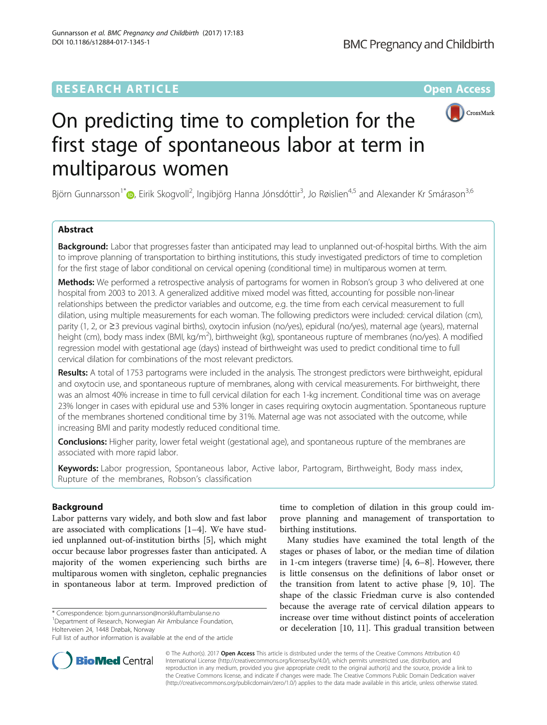# **RESEARCH ARTICLE Example 2014 12:30 The Contract of Contract ACCESS**



# On predicting time to completion for the first stage of spontaneous labor at term in multiparous women

Björn Gunnarsson<sup>1\*</sup>D, Eirik Skogvoll<sup>2</sup>, Ingibjörg Hanna Jónsdóttir<sup>3</sup>, Jo Røislien<sup>4,5</sup> and Alexander Kr Smárason<sup>3,6</sup>

# Abstract

Background: Labor that progresses faster than anticipated may lead to unplanned out-of-hospital births. With the aim to improve planning of transportation to birthing institutions, this study investigated predictors of time to completion for the first stage of labor conditional on cervical opening (conditional time) in multiparous women at term.

Methods: We performed a retrospective analysis of partograms for women in Robson's group 3 who delivered at one hospital from 2003 to 2013. A generalized additive mixed model was fitted, accounting for possible non-linear relationships between the predictor variables and outcome, e.g. the time from each cervical measurement to full dilation, using multiple measurements for each woman. The following predictors were included: cervical dilation (cm), parity (1, 2, or ≥3 previous vaginal births), oxytocin infusion (no/yes), epidural (no/yes), maternal age (years), maternal .<br>height (cm), body mass index (BMI, kg/m<sup>2</sup>), birthweight (kg), spontaneous rupture of membranes (no/yes). A modified regression model with gestational age (days) instead of birthweight was used to predict conditional time to full cervical dilation for combinations of the most relevant predictors.

Results: A total of 1753 partograms were included in the analysis. The strongest predictors were birthweight, epidural and oxytocin use, and spontaneous rupture of membranes, along with cervical measurements. For birthweight, there was an almost 40% increase in time to full cervical dilation for each 1-kg increment. Conditional time was on average 23% longer in cases with epidural use and 53% longer in cases requiring oxytocin augmentation. Spontaneous rupture of the membranes shortened conditional time by 31%. Maternal age was not associated with the outcome, while increasing BMI and parity modestly reduced conditional time.

Conclusions: Higher parity, lower fetal weight (gestational age), and spontaneous rupture of the membranes are associated with more rapid labor.

Keywords: Labor progression, Spontaneous labor, Active labor, Partogram, Birthweight, Body mass index, Rupture of the membranes, Robson's classification

## Background

Labor patterns vary widely, and both slow and fast labor are associated with complications [[1](#page-6-0)–[4\]](#page-6-0). We have studied unplanned out-of-institution births [[5](#page-6-0)], which might occur because labor progresses faster than anticipated. A majority of the women experiencing such births are multiparous women with singleton, cephalic pregnancies in spontaneous labor at term. Improved prediction of

\* Correspondence: [bjorn.gunnarsson@norskluftambulanse.no](mailto:bjorn.gunnarsson@norskluftambulanse.no) <sup>1</sup>

<sup>1</sup>Department of Research, Norwegian Air Ambulance Foundation, Holterveien 24, 1448 Drøbak, Norway

Full list of author information is available at the end of the article

time to completion of dilation in this group could improve planning and management of transportation to birthing institutions.

Many studies have examined the total length of the stages or phases of labor, or the median time of dilation in 1-cm integers (traverse time) [[4, 6](#page-6-0)–[8\]](#page-6-0). However, there is little consensus on the definitions of labor onset or the transition from latent to active phase [[9, 10](#page-6-0)]. The shape of the classic Friedman curve is also contended because the average rate of cervical dilation appears to increase over time without distinct points of acceleration or deceleration [\[10](#page-6-0), [11](#page-6-0)]. This gradual transition between



© The Author(s). 2017 **Open Access** This article is distributed under the terms of the Creative Commons Attribution 4.0 International License [\(http://creativecommons.org/licenses/by/4.0/](http://creativecommons.org/licenses/by/4.0/)), which permits unrestricted use, distribution, and reproduction in any medium, provided you give appropriate credit to the original author(s) and the source, provide a link to the Creative Commons license, and indicate if changes were made. The Creative Commons Public Domain Dedication waiver [\(http://creativecommons.org/publicdomain/zero/1.0/](http://creativecommons.org/publicdomain/zero/1.0/)) applies to the data made available in this article, unless otherwise stated.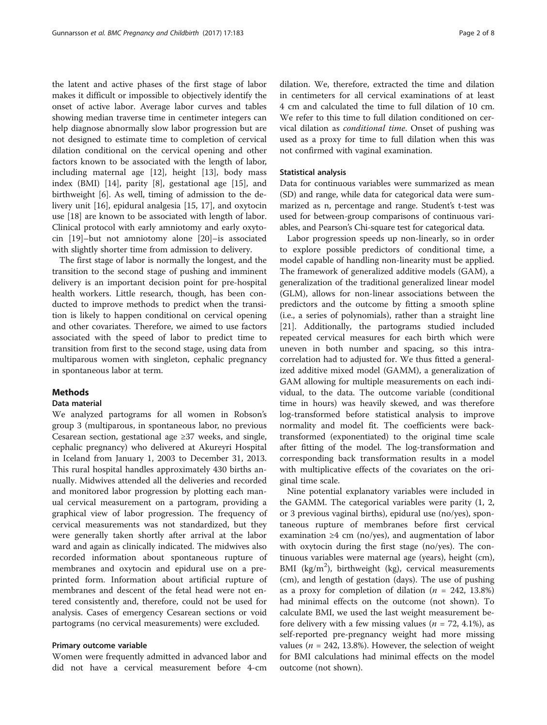the latent and active phases of the first stage of labor makes it difficult or impossible to objectively identify the onset of active labor. Average labor curves and tables showing median traverse time in centimeter integers can help diagnose abnormally slow labor progression but are not designed to estimate time to completion of cervical dilation conditional on the cervical opening and other factors known to be associated with the length of labor, including maternal age [[12](#page-6-0)], height [[13\]](#page-6-0), body mass index (BMI) [\[14\]](#page-6-0), parity [\[8](#page-6-0)], gestational age [\[15](#page-6-0)], and birthweight [\[6](#page-6-0)]. As well, timing of admission to the delivery unit [\[16\]](#page-6-0), epidural analgesia [\[15](#page-6-0), [17\]](#page-6-0), and oxytocin use [\[18](#page-6-0)] are known to be associated with length of labor. Clinical protocol with early amniotomy and early oxytocin [[19\]](#page-6-0)–but not amniotomy alone [\[20](#page-6-0)]–is associated with slightly shorter time from admission to delivery.

The first stage of labor is normally the longest, and the transition to the second stage of pushing and imminent delivery is an important decision point for pre-hospital health workers. Little research, though, has been conducted to improve methods to predict when the transition is likely to happen conditional on cervical opening and other covariates. Therefore, we aimed to use factors associated with the speed of labor to predict time to transition from first to the second stage, using data from multiparous women with singleton, cephalic pregnancy in spontaneous labor at term.

## **Methods**

#### Data material

We analyzed partograms for all women in Robson's group 3 (multiparous, in spontaneous labor, no previous Cesarean section, gestational age ≥37 weeks, and single, cephalic pregnancy) who delivered at Akureyri Hospital in Iceland from January 1, 2003 to December 31, 2013. This rural hospital handles approximately 430 births annually. Midwives attended all the deliveries and recorded and monitored labor progression by plotting each manual cervical measurement on a partogram, providing a graphical view of labor progression. The frequency of cervical measurements was not standardized, but they were generally taken shortly after arrival at the labor ward and again as clinically indicated. The midwives also recorded information about spontaneous rupture of membranes and oxytocin and epidural use on a preprinted form. Information about artificial rupture of membranes and descent of the fetal head were not entered consistently and, therefore, could not be used for analysis. Cases of emergency Cesarean sections or void partograms (no cervical measurements) were excluded.

## Primary outcome variable

Women were frequently admitted in advanced labor and did not have a cervical measurement before 4-cm

dilation. We, therefore, extracted the time and dilation in centimeters for all cervical examinations of at least 4 cm and calculated the time to full dilation of 10 cm. We refer to this time to full dilation conditioned on cervical dilation as conditional time. Onset of pushing was used as a proxy for time to full dilation when this was not confirmed with vaginal examination.

## Statistical analysis

Data for continuous variables were summarized as mean (SD) and range, while data for categorical data were summarized as n, percentage and range. Student's t-test was used for between-group comparisons of continuous variables, and Pearson's Chi-square test for categorical data.

Labor progression speeds up non-linearly, so in order to explore possible predictors of conditional time, a model capable of handling non-linearity must be applied. The framework of generalized additive models (GAM), a generalization of the traditional generalized linear model (GLM), allows for non-linear associations between the predictors and the outcome by fitting a smooth spline (i.e., a series of polynomials), rather than a straight line [[21\]](#page-6-0). Additionally, the partograms studied included repeated cervical measures for each birth which were uneven in both number and spacing, so this intracorrelation had to adjusted for. We thus fitted a generalized additive mixed model (GAMM), a generalization of GAM allowing for multiple measurements on each individual, to the data. The outcome variable (conditional time in hours) was heavily skewed, and was therefore log-transformed before statistical analysis to improve normality and model fit. The coefficients were backtransformed (exponentiated) to the original time scale after fitting of the model. The log-transformation and corresponding back transformation results in a model with multiplicative effects of the covariates on the original time scale.

Nine potential explanatory variables were included in the GAMM. The categorical variables were parity (1, 2, or 3 previous vaginal births), epidural use (no/yes), spontaneous rupture of membranes before first cervical examination  $\geq 4$  cm (no/yes), and augmentation of labor with oxytocin during the first stage (no/yes). The continuous variables were maternal age (years), height (cm), BMI (kg/m<sup>2</sup>), birthweight (kg), cervical measurements (cm), and length of gestation (days). The use of pushing as a proxy for completion of dilation ( $n = 242, 13.8\%)$ had minimal effects on the outcome (not shown). To calculate BMI, we used the last weight measurement before delivery with a few missing values ( $n = 72, 4.1\%$ ), as self-reported pre-pregnancy weight had more missing values ( $n = 242, 13.8\%$ ). However, the selection of weight for BMI calculations had minimal effects on the model outcome (not shown).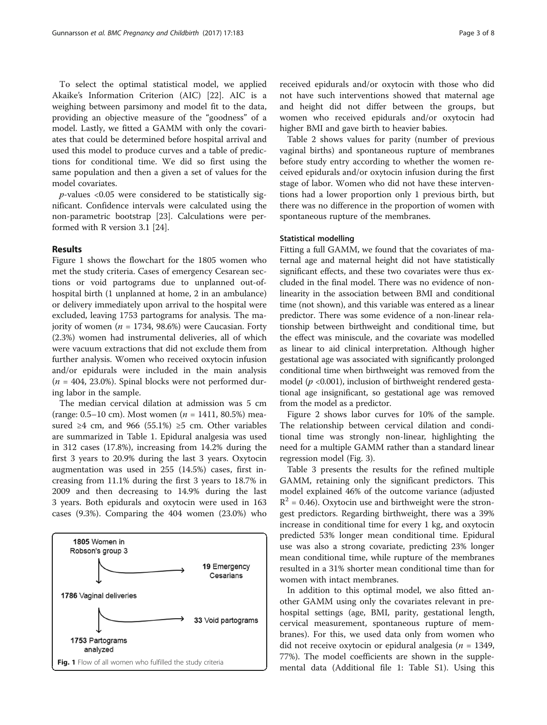To select the optimal statistical model, we applied Akaike's Information Criterion (AIC) [[22](#page-6-0)]. AIC is a weighing between parsimony and model fit to the data, providing an objective measure of the "goodness" of a model. Lastly, we fitted a GAMM with only the covariates that could be determined before hospital arrival and used this model to produce curves and a table of predictions for conditional time. We did so first using the same population and then a given a set of values for the model covariates.

 $p$ -values <0.05 were considered to be statistically significant. Confidence intervals were calculated using the non-parametric bootstrap [\[23\]](#page-6-0). Calculations were performed with R version 3.1 [\[24](#page-6-0)].

## Results

Figure 1 shows the flowchart for the 1805 women who met the study criteria. Cases of emergency Cesarean sections or void partograms due to unplanned out-ofhospital birth (1 unplanned at home, 2 in an ambulance) or delivery immediately upon arrival to the hospital were excluded, leaving 1753 partograms for analysis. The majority of women ( $n = 1734, 98.6\%$ ) were Caucasian. Forty (2.3%) women had instrumental deliveries, all of which were vacuum extractions that did not exclude them from further analysis. Women who received oxytocin infusion and/or epidurals were included in the main analysis  $(n = 404, 23.0\%)$ . Spinal blocks were not performed during labor in the sample.

The median cervical dilation at admission was 5 cm (range: 0.5–10 cm). Most women ( $n = 1411, 80.5\%$ ) measured ≥4 cm, and 966 (55.1%) ≥5 cm. Other variables are summarized in Table [1.](#page-3-0) Epidural analgesia was used in 312 cases (17.8%), increasing from 14.2% during the first 3 years to 20.9% during the last 3 years. Oxytocin augmentation was used in 255 (14.5%) cases, first increasing from 11.1% during the first 3 years to 18.7% in 2009 and then decreasing to 14.9% during the last 3 years. Both epidurals and oxytocin were used in 163 cases (9.3%). Comparing the 404 women (23.0%) who



received epidurals and/or oxytocin with those who did not have such interventions showed that maternal age and height did not differ between the groups, but women who received epidurals and/or oxytocin had higher BMI and gave birth to heavier babies.

Table [2](#page-3-0) shows values for parity (number of previous vaginal births) and spontaneous rupture of membranes before study entry according to whether the women received epidurals and/or oxytocin infusion during the first stage of labor. Women who did not have these interventions had a lower proportion only 1 previous birth, but there was no difference in the proportion of women with spontaneous rupture of the membranes.

## Statistical modelling

Fitting a full GAMM, we found that the covariates of maternal age and maternal height did not have statistically significant effects, and these two covariates were thus excluded in the final model. There was no evidence of nonlinearity in the association between BMI and conditional time (not shown), and this variable was entered as a linear predictor. There was some evidence of a non-linear relationship between birthweight and conditional time, but the effect was miniscule, and the covariate was modelled as linear to aid clinical interpretation. Although higher gestational age was associated with significantly prolonged conditional time when birthweight was removed from the model ( $p < 0.001$ ), inclusion of birthweight rendered gestational age insignificant, so gestational age was removed from the model as a predictor.

Figure [2](#page-4-0) shows labor curves for 10% of the sample. The relationship between cervical dilation and conditional time was strongly non-linear, highlighting the need for a multiple GAMM rather than a standard linear regression model (Fig. [3](#page-4-0)).

Table [3](#page-5-0) presents the results for the refined multiple GAMM, retaining only the significant predictors. This model explained 46% of the outcome variance (adjusted  $R^2$  = 0.46). Oxytocin use and birthweight were the strongest predictors. Regarding birthweight, there was a 39% increase in conditional time for every 1 kg, and oxytocin predicted 53% longer mean conditional time. Epidural use was also a strong covariate, predicting 23% longer mean conditional time, while rupture of the membranes resulted in a 31% shorter mean conditional time than for women with intact membranes.

In addition to this optimal model, we also fitted another GAMM using only the covariates relevant in prehospital settings (age, BMI, parity, gestational length, cervical measurement, spontaneous rupture of membranes). For this, we used data only from women who did not receive oxytocin or epidural analgesia ( $n = 1349$ , 77%). The model coefficients are shown in the supple-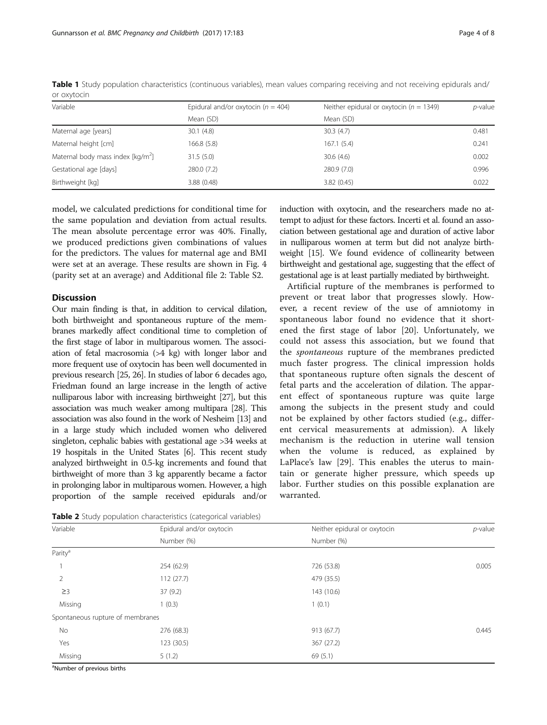| Variable                                      | Epidural and/or oxytocin ( $n = 404$ ) | Neither epidural or oxytocin ( $n = 1349$ ) | $p$ -value |
|-----------------------------------------------|----------------------------------------|---------------------------------------------|------------|
|                                               | Mean (SD)                              | Mean (SD)                                   |            |
| Maternal age [years]                          | 30.1(4.8)                              | 30.3(4.7)                                   | 0.481      |
| Maternal height [cm]                          | 166.8 (5.8)                            | 167.1(5.4)                                  | 0.241      |
| Maternal body mass index [kg/m <sup>2</sup> ] | 31.5(5.0)                              | 30.6(4.6)                                   | 0.002      |
| Gestational age [days]                        | 280.0 (7.2)                            | 280.9 (7.0)                                 | 0.996      |
| Birthweight [kg]                              | 3.88(0.48)                             | 3.82(0.45)                                  | 0.022      |

<span id="page-3-0"></span>Table 1 Study population characteristics (continuous variables), mean values comparing receiving and not receiving epidurals and/ or oxytocin

model, we calculated predictions for conditional time for the same population and deviation from actual results. The mean absolute percentage error was 40%. Finally, we produced predictions given combinations of values for the predictors. The values for maternal age and BMI were set at an average. These results are shown in Fig. [4](#page-5-0) (parity set at an average) and Additional file [2:](#page-5-0) Table S2.

## **Discussion**

Our main finding is that, in addition to cervical dilation, both birthweight and spontaneous rupture of the membranes markedly affect conditional time to completion of the first stage of labor in multiparous women. The association of fetal macrosomia (>4 kg) with longer labor and more frequent use of oxytocin has been well documented in previous research [\[25, 26\]](#page-6-0). In studies of labor 6 decades ago, Friedman found an large increase in the length of active nulliparous labor with increasing birthweight [\[27](#page-6-0)], but this association was much weaker among multipara [[28](#page-6-0)]. This association was also found in the work of Nesheim [\[13](#page-6-0)] and in a large study which included women who delivered singleton, cephalic babies with gestational age >34 weeks at 19 hospitals in the United States [\[6\]](#page-6-0). This recent study analyzed birthweight in 0.5-kg increments and found that birthweight of more than 3 kg apparently became a factor in prolonging labor in multiparous women. However, a high proportion of the sample received epidurals and/or

Table 2 Study population characteristics (categorical variables)

induction with oxytocin, and the researchers made no attempt to adjust for these factors. Incerti et al. found an association between gestational age and duration of active labor in nulliparous women at term but did not analyze birthweight [[15](#page-6-0)]. We found evidence of collinearity between birthweight and gestational age, suggesting that the effect of gestational age is at least partially mediated by birthweight.

Artificial rupture of the membranes is performed to prevent or treat labor that progresses slowly. However, a recent review of the use of amniotomy in spontaneous labor found no evidence that it shortened the first stage of labor [\[20](#page-6-0)]. Unfortunately, we could not assess this association, but we found that the spontaneous rupture of the membranes predicted much faster progress. The clinical impression holds that spontaneous rupture often signals the descent of fetal parts and the acceleration of dilation. The apparent effect of spontaneous rupture was quite large among the subjects in the present study and could not be explained by other factors studied (e.g., different cervical measurements at admission). A likely mechanism is the reduction in uterine wall tension when the volume is reduced, as explained by LaPlace's law [[29\]](#page-6-0). This enables the uterus to maintain or generate higher pressure, which speeds up labor. Further studies on this possible explanation are warranted.

| Variable                         | Epidural and/or oxytocin | Neither epidural or oxytocin | $p$ -value |
|----------------------------------|--------------------------|------------------------------|------------|
|                                  | Number (%)               | Number (%)                   |            |
| Parity <sup>a</sup>              |                          |                              |            |
|                                  | 254 (62.9)               | 726 (53.8)                   | 0.005      |
| 2                                | 112(27.7)                | 479 (35.5)                   |            |
| $\geq$ 3                         | 37(9.2)                  | 143 (10.6)                   |            |
| Missing                          | 1(0.3)                   | 1(0.1)                       |            |
| Spontaneous rupture of membranes |                          |                              |            |
| No                               | 276 (68.3)               | 913 (67.7)                   | 0.445      |
| Yes                              | 123 (30.5)               | 367 (27.2)                   |            |
| Missing                          | 5(1.2)                   | 69(5.1)                      |            |

<sup>a</sup>Number of previous births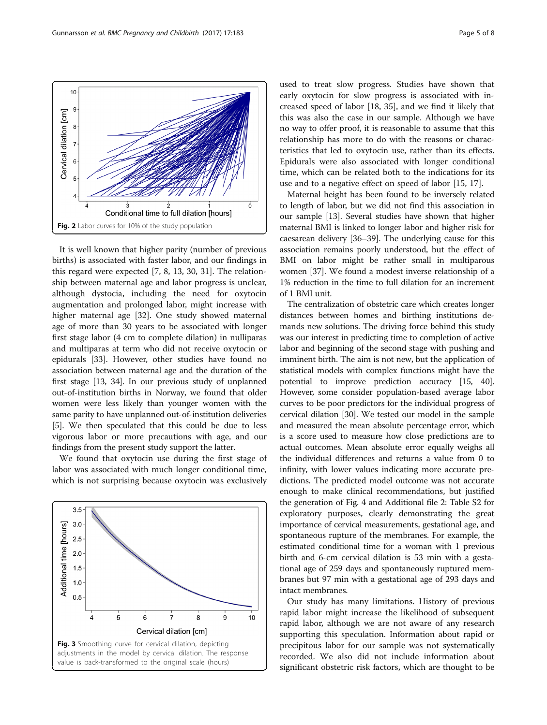It is well known that higher parity (number of previous births) is associated with faster labor, and our findings in this regard were expected [\[7](#page-6-0), [8](#page-6-0), [13](#page-6-0), [30](#page-6-0), [31](#page-6-0)]. The relationship between maternal age and labor progress is unclear, although dystocia, including the need for oxytocin augmentation and prolonged labor, might increase with higher maternal age [[32\]](#page-6-0). One study showed maternal age of more than 30 years to be associated with longer first stage labor (4 cm to complete dilation) in nulliparas and multiparas at term who did not receive oxytocin or epidurals [\[33](#page-6-0)]. However, other studies have found no association between maternal age and the duration of the first stage [\[13](#page-6-0), [34](#page-6-0)]. In our previous study of unplanned out-of-institution births in Norway, we found that older women were less likely than younger women with the same parity to have unplanned out-of-institution deliveries [[5\]](#page-6-0). We then speculated that this could be due to less vigorous labor or more precautions with age, and our findings from the present study support the latter.

We found that oxytocin use during the first stage of labor was associated with much longer conditional time, which is not surprising because oxytocin was exclusively used to treat slow progress. Studies have shown that early oxytocin for slow progress is associated with increased speed of labor [\[18, 35](#page-6-0)], and we find it likely that this was also the case in our sample. Although we have no way to offer proof, it is reasonable to assume that this relationship has more to do with the reasons or characteristics that led to oxytocin use, rather than its effects. Epidurals were also associated with longer conditional time, which can be related both to the indications for its use and to a negative effect on speed of labor [[15](#page-6-0), [17](#page-6-0)].

Maternal height has been found to be inversely related to length of labor, but we did not find this association in our sample [[13](#page-6-0)]. Several studies have shown that higher maternal BMI is linked to longer labor and higher risk for caesarean delivery [\[36](#page-6-0)–[39](#page-7-0)]. The underlying cause for this association remains poorly understood, but the effect of BMI on labor might be rather small in multiparous women [\[37](#page-7-0)]. We found a modest inverse relationship of a 1% reduction in the time to full dilation for an increment of 1 BMI unit.

The centralization of obstetric care which creates longer distances between homes and birthing institutions demands new solutions. The driving force behind this study was our interest in predicting time to completion of active labor and beginning of the second stage with pushing and imminent birth. The aim is not new, but the application of statistical models with complex functions might have the potential to improve prediction accuracy [\[15,](#page-6-0) [40](#page-7-0)]. However, some consider population-based average labor curves to be poor predictors for the individual progress of cervical dilation [\[30\]](#page-6-0). We tested our model in the sample and measured the mean absolute percentage error, which is a score used to measure how close predictions are to actual outcomes. Mean absolute error equally weighs all the individual differences and returns a value from 0 to infinity, with lower values indicating more accurate predictions. The predicted model outcome was not accurate enough to make clinical recommendations, but justified the generation of Fig. [4](#page-5-0) and Additional file [2:](#page-5-0) Table S2 for exploratory purposes, clearly demonstrating the great importance of cervical measurements, gestational age, and spontaneous rupture of the membranes. For example, the estimated conditional time for a woman with 1 previous birth and 6-cm cervical dilation is 53 min with a gestational age of 259 days and spontaneously ruptured membranes but 97 min with a gestational age of 293 days and intact membranes.

Our study has many limitations. History of previous rapid labor might increase the likelihood of subsequent rapid labor, although we are not aware of any research supporting this speculation. Information about rapid or precipitous labor for our sample was not systematically recorded. We also did not include information about significant obstetric risk factors, which are thought to be



<span id="page-4-0"></span>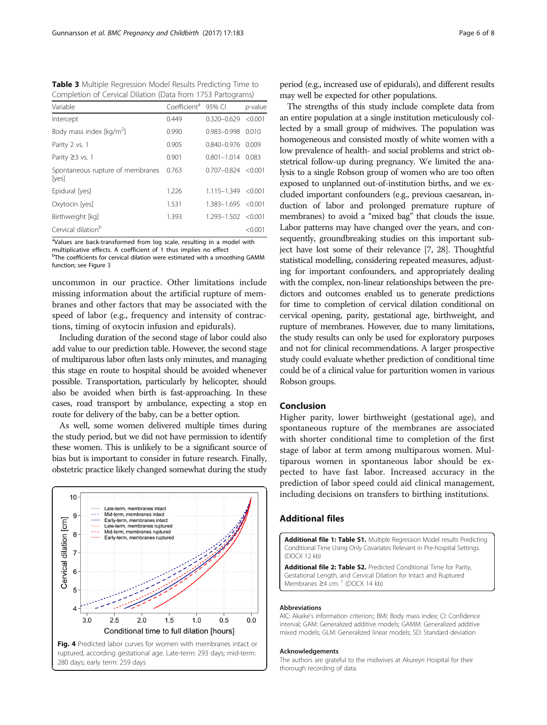<span id="page-5-0"></span>

| <b>Table 3</b> Multiple Regression Model Results Predicting Time to |
|---------------------------------------------------------------------|
| Completion of Cervical Dilation (Data from 1753 Partograms)         |

| Variable                                  | Coefficient <sup>a</sup> 95% CI |                 | $p$ -value |
|-------------------------------------------|---------------------------------|-----------------|------------|
| Intercept                                 | 0.449                           | $0.320 - 0.629$ | < 0.001    |
| Body mass index [kg/m <sup>2</sup> ]      | 0.990                           | $0.983 - 0.998$ | 0.010      |
| Parity 2 vs. 1                            | 0.905                           | $0.840 - 0.976$ | 0.009      |
| Parity $\geq$ 3 vs. 1                     | 0.901                           | $0.801 - 1.014$ | 0.083      |
| Spontaneous rupture of membranes<br>[yes] | 0.763                           | $0.707 - 0.824$ | < 0.001    |
| Epidural [yes]                            | 1.226                           | 1.115-1.349     | < 0.001    |
| Oxytocin [yes]                            | 1.531                           | 1.383-1.695     | < 0.001    |
| Birthweight [kg]                          | 1.393                           | 1.293-1.502     | < 0.001    |
| Cervical dilation <sup>b</sup>            |                                 |                 | < 0.001    |

<sup>a</sup>Values are back-transformed from log scale, resulting in a model with multiplicative effects. A coefficient of 1 thus implies no effect <sup>b</sup>

<sup>b</sup>The coefficients for cervical dilation were estimated with a smoothing GAMM function; see Figure [3](#page-4-0)

uncommon in our practice. Other limitations include missing information about the artificial rupture of membranes and other factors that may be associated with the speed of labor (e.g., frequency and intensity of contractions, timing of oxytocin infusion and epidurals).

Including duration of the second stage of labor could also add value to our prediction table. However, the second stage of multiparous labor often lasts only minutes, and managing this stage en route to hospital should be avoided whenever possible. Transportation, particularly by helicopter, should also be avoided when birth is fast-approaching. In these cases, road transport by ambulance, expecting a stop en route for delivery of the baby, can be a better option.

As well, some women delivered multiple times during the study period, but we did not have permission to identify these women. This is unlikely to be a significant source of bias but is important to consider in future research. Finally, obstetric practice likely changed somewhat during the study



period (e.g., increased use of epidurals), and different results may well be expected for other populations.

The strengths of this study include complete data from an entire population at a single institution meticulously collected by a small group of midwives. The population was homogeneous and consisted mostly of white women with a low prevalence of health- and social problems and strict obstetrical follow-up during pregnancy. We limited the analysis to a single Robson group of women who are too often exposed to unplanned out-of-institution births, and we excluded important confounders (e.g., previous caesarean, induction of labor and prolonged premature rupture of membranes) to avoid a "mixed bag" that clouds the issue. Labor patterns may have changed over the years, and consequently, groundbreaking studies on this important subject have lost some of their relevance [\[7, 28](#page-6-0)]. Thoughtful statistical modelling, considering repeated measures, adjusting for important confounders, and appropriately dealing with the complex, non-linear relationships between the predictors and outcomes enabled us to generate predictions for time to completion of cervical dilation conditional on cervical opening, parity, gestational age, birthweight, and rupture of membranes. However, due to many limitations, the study results can only be used for exploratory purposes and not for clinical recommendations. A larger prospective study could evaluate whether prediction of conditional time could be of a clinical value for parturition women in various Robson groups.

## Conclusion

Higher parity, lower birthweight (gestational age), and spontaneous rupture of the membranes are associated with shorter conditional time to completion of the first stage of labor at term among multiparous women. Multiparous women in spontaneous labor should be expected to have fast labor. Increased accuracy in the prediction of labor speed could aid clinical management, including decisions on transfers to birthing institutions.

## Additional files

[Additional file 1: Table S1.](dx.doi.org/10.1186/s12884-017-1345-1) Multiple Regression Model results Predicting Conditional Time Using Only Covariates Relevant in Pre-hospital Settings. (DOCX 12 kb)

[Additional file 2: Table S2.](dx.doi.org/10.1186/s12884-017-1345-1) Predicted Conditional Time for Parity, Gestational Length, and Cervical Dilation for Intact and Ruptured Membranes ≥4 cm. <sup>1</sup> (DOCX 14 kb)

## Abbreviations

AIC: Akaike's information criterion;; BMI: Body mass index; CI: Confidence interval; GAM: Generalized additive models; GAMM: Generalized additive mixed models; GLM: Generalized linear models; SD: Standard deviation

#### Acknowledgements

The authors are grateful to the midwives at Akureyri Hospital for their thorough recording of data.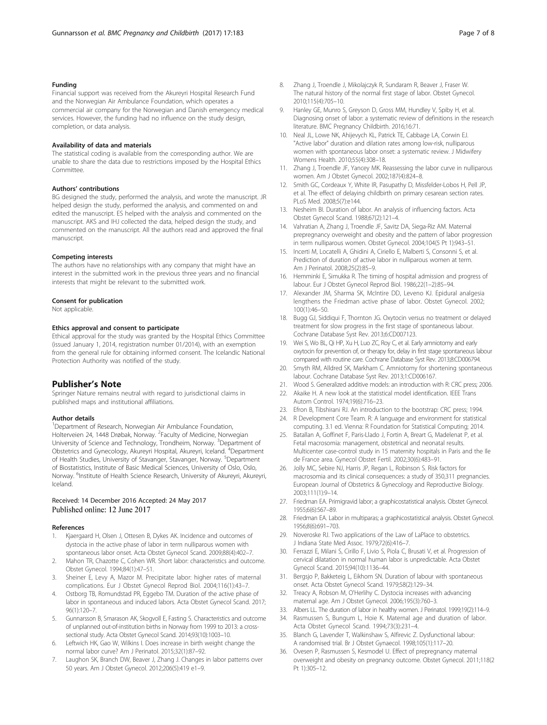## <span id="page-6-0"></span>Funding

Financial support was received from the Akureyri Hospital Research Fund and the Norwegian Air Ambulance Foundation, which operates a commercial air company for the Norwegian and Danish emergency medical services. However, the funding had no influence on the study design, completion, or data analysis.

## Availability of data and materials

The statistical coding is available from the corresponding author. We are unable to share the data due to restrictions imposed by the Hospital Ethics Committee.

## Authors' contributions

BG designed the study, performed the analysis, and wrote the manuscript. JR helped design the study, performed the analysis, and commented on and edited the manuscript. ES helped with the analysis and commented on the manuscript. AKS and IHJ collected the data, helped design the study, and commented on the manuscript. All the authors read and approved the final manuscript.

#### Competing interests

The authors have no relationships with any company that might have an interest in the submitted work in the previous three years and no financial interests that might be relevant to the submitted work.

#### Consent for publication

Not applicable.

#### Ethics approval and consent to participate

Ethical approval for the study was granted by the Hospital Ethics Committee (issued January 1, 2014, registration number 01/2014), with an exemption from the general rule for obtaining informed consent. The Icelandic National Protection Authority was notified of the study.

## Publisher's Note

Springer Nature remains neutral with regard to jurisdictional claims in published maps and institutional affiliations.

### Author details

<sup>1</sup>Department of Research, Norwegian Air Ambulance Foundation, Holterveien 24, 1448 Drøbak, Norway. <sup>2</sup>Faculty of Medicine, Norwegian University of Science and Technology, Trondheim, Norway. <sup>3</sup>Department of Obstetrics and Gynecology, Akureyri Hospital, Akureyri, Iceland. <sup>4</sup>Department of Health Studies, University of Stavanger, Stavanger, Norway. <sup>5</sup>Department of Biostatistics, Institute of Basic Medical Sciences, University of Oslo, Oslo, Norway. <sup>6</sup>Institute of Health Science Research, University of Akureyri, Akureyri, Iceland.

## Received: 14 December 2016 Accepted: 24 May 2017 Published online: 12 June 2017

#### References

- Kjaergaard H, Olsen J, Ottesen B, Dykes AK. Incidence and outcomes of dystocia in the active phase of labor in term nulliparous women with spontaneous labor onset. Acta Obstet Gynecol Scand. 2009;88(4):402–7.
- 2. Mahon TR, Chazotte C, Cohen WR. Short labor: characteristics and outcome. Obstet Gynecol. 1994;84(1):47–51.
- Sheiner E, Levy A, Mazor M. Precipitate labor: higher rates of maternal complications. Eur J Obstet Gynecol Reprod Biol. 2004;116(1):43–7.
- 4. Ostborg TB, Romundstad PR, Eggebo TM. Duration of the active phase of labor in spontaneous and induced labors. Acta Obstet Gynecol Scand. 2017; 96(1):120–7.
- 5. Gunnarsson B, Smarason AK, Skogvoll E, Fasting S. Characteristics and outcome of unplanned out-of-institution births in Norway from 1999 to 2013: a crosssectional study. Acta Obstet Gynecol Scand. 2014;93(10):1003–10.
- 6. Leftwich HK, Gao W, Wilkins I. Does increase in birth weight change the normal labor curve? Am J Perinatol. 2015;32(1):87–92.
- 7. Laughon SK, Branch DW, Beaver J, Zhang J. Changes in labor patterns over 50 years. Am J Obstet Gynecol. 2012;206(5):419 e1–9.
- 8. Zhang J, Troendle J, Mikolajczyk R, Sundaram R, Beaver J, Fraser W. The natural history of the normal first stage of labor. Obstet Gynecol. 2010;115(4):705–10.
- 9. Hanley GE, Munro S, Greyson D, Gross MM, Hundley V, Spiby H, et al. Diagnosing onset of labor: a systematic review of definitions in the research literature. BMC Pregnancy Childbirth. 2016;16:71.
- 10. Neal JL, Lowe NK, Ahijevych KL, Patrick TE, Cabbage LA, Corwin EJ. "Active labor" duration and dilation rates among low-risk, nulliparous women with spontaneous labor onset: a systematic review. J Midwifery Womens Health. 2010;55(4):308–18.
- 11. Zhang J, Troendle JF, Yancey MK. Reassessing the labor curve in nulliparous women. Am J Obstet Gynecol. 2002;187(4):824–8.
- 12. Smith GC, Cordeaux Y, White IR, Pasupathy D, Missfelder-Lobos H, Pell JP, et al. The effect of delaying childbirth on primary cesarean section rates. PLoS Med. 2008;5(7):e144.
- 13. Nesheim BI. Duration of labor. An analysis of influencing factors. Acta Obstet Gynecol Scand. 1988;67(2):121–4.
- 14. Vahratian A, Zhang J, Troendle JF, Savitz DA, Siega-Riz AM. Maternal prepregnancy overweight and obesity and the pattern of labor progression in term nulliparous women. Obstet Gynecol. 2004;104(5 Pt 1):943–51.
- 15. Incerti M, Locatelli A, Ghidini A, Ciriello E, Malberti S, Consonni S, et al. Prediction of duration of active labor in nulliparous women at term. Am J Perinatol. 2008;25(2):85–9.
- 16. Hemminki E, Simukka R. The timing of hospital admission and progress of labour. Eur J Obstet Gynecol Reprod Biol. 1986;22(1–2):85–94.
- 17. Alexander JM, Sharma SK, McIntire DD, Leveno KJ. Epidural analgesia lengthens the Friedman active phase of labor. Obstet Gynecol. 2002; 100(1):46–50.
- 18. Bugg GJ, Siddiqui F, Thornton JG. Oxytocin versus no treatment or delayed treatment for slow progress in the first stage of spontaneous labour. Cochrane Database Syst Rev. 2013;6:CD007123.
- 19. Wei S, Wo BL, Qi HP, Xu H, Luo ZC, Roy C, et al. Early amniotomy and early oxytocin for prevention of, or therapy for, delay in first stage spontaneous labour compared with routine care. Cochrane Database Syst Rev. 2013;8:CD006794.
- 20. Smyth RM, Alldred SK, Markham C. Amniotomy for shortening spontaneous labour. Cochrane Database Syst Rev. 2013;1:CD006167.
- 21. Wood S. Generalized additive models: an introduction with R: CRC press; 2006.
- 22. Akaike H. A new look at the statistical model identification. IFFE Trans Autom Control. 1974;19(6):716–23.
- 23. Efron B, Tibshirani RJ. An introduction to the bootstrap: CRC press; 1994.
- 24. R Development Core Team. R: A language and environment for statistical computing. 3.1 ed. Vienna: R Foundation for Statistical Computing; 2014.
- Batallan A, Goffinet F, Paris-Llado J, Fortin A, Breart G, Madelenat P, et al. Fetal macrosomia: management, obstetrical and neonatal results. Multicenter case-control study in 15 maternity hospitals in Paris and the Ile de France area. Gynecol Obstet Fertil. 2002;30(6):483–91.
- 26. Jolly MC, Sebire NJ, Harris JP, Regan L, Robinson S. Risk factors for macrosomia and its clinical consequences: a study of 350,311 pregnancies. European Journal of Obstetrics & Gynecology and Reproductive Biology. 2003;111(1):9–14.
- 27. Friedman EA. Primigravid labor; a graphicostatistical analysis. Obstet Gynecol. 1955;6(6):567–89.
- 28. Friedman EA. Labor in multiparas; a graphicostatistical analysis. Obstet Gynecol. 1956;8(6):691–703.
- 29. Noveroske RJ. Two applications of the Law of LaPlace to obstetrics. J Indiana State Med Assoc. 1979;72(6):416–7.
- 30. Ferrazzi E, Milani S, Cirillo F, Livio S, Piola C, Brusati V, et al. Progression of cervical dilatation in normal human labor is unpredictable. Acta Obstet Gynecol Scand. 2015;94(10):1136–44.
- 31. Bergsjo P, Bakketeig L, Eikhom SN. Duration of labour with spontaneous onset. Acta Obstet Gynecol Scand. 1979;58(2):129–34.
- 32. Treacy A, Robson M, O'Herlihy C. Dystocia increases with advancing maternal age. Am J Obstet Gynecol. 2006;195(3):760–3.
- 33. Albers LL. The duration of labor in healthy women. J Perinatol. 1999;19(2):114–9.
- 34. Rasmussen S, Bungum L, Hoie K. Maternal age and duration of labor. Acta Obstet Gynecol Scand. 1994;73(3):231–4.
- 35. Blanch G, Lavender T, Walkinshaw S, Alfirevic Z. Dysfunctional labour: A randomised trial. Br J Obstet Gynaecol. 1998;105(1):117–20.
- 36. Ovesen P, Rasmussen S, Kesmodel U. Effect of prepregnancy maternal overweight and obesity on pregnancy outcome. Obstet Gynecol. 2011;118(2 Pt 1):305–12.